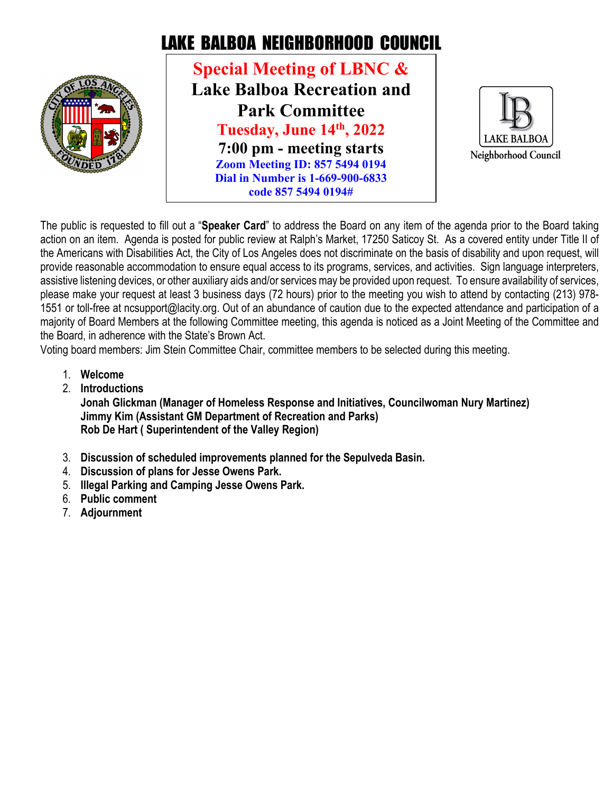

## LAKE BALBOA NEIGHBORHOOD COUNCIL

**Special Meeting of LBNC & Lake Balboa Recreation and Park Committee Tuesday, June 14th, 2022 7:00 pm - meeting starts Zoom Meeting ID: 857 5494 0194 Dial in Number is 1-669-900-6833 code 857 5494 0194#**



The public is requested to fill out a "**Speaker Card**" to address the Board on any item of the agenda prior to the Board taking action on an item. Agenda is posted for public review at Ralph's Market, 17250 Saticoy St. As a covered entity under Title II of the Americans with Disabilities Act, the City of Los Angeles does not discriminate on the basis of disability and upon request, will provide reasonable accommodation to ensure equal access to its programs, services, and activities. Sign language interpreters, assistive listening devices, or other auxiliary aids and/or services may be provided upon request. To ensure availability of services, please make your request at least 3 business days (72 hours) prior to the meeting you wish to attend by contacting (213) 978- 1551 or toll-free at ncsupport@lacity.org. Out of an abundance of caution due to the expected attendance and participation of a majority of Board Members at the following Committee meeting, this agenda is noticed as a Joint Meeting of the Committee and the Board, in adherence with the State's Brown Act.

Voting board members: Jim Stein Committee Chair, committee members to be selected during this meeting.

- 1. **Welcome**
- 2. **Introductions**

**Jonah Glickman (Manager of Homeless Response and Initiatives, Councilwoman Nury Martinez) Jimmy Kim (Assistant GM Department of Recreation and Parks) Rob De Hart ( Superintendent of the Valley Region)**

- 3. **Discussion of scheduled improvements planned for the Sepulveda Basin.**
- 4. **Discussion of plans for Jesse Owens Park.**
- 5. **Illegal Parking and Camping Jesse Owens Park.**
- 6. **Public comment**
- 7. **Adjournment**